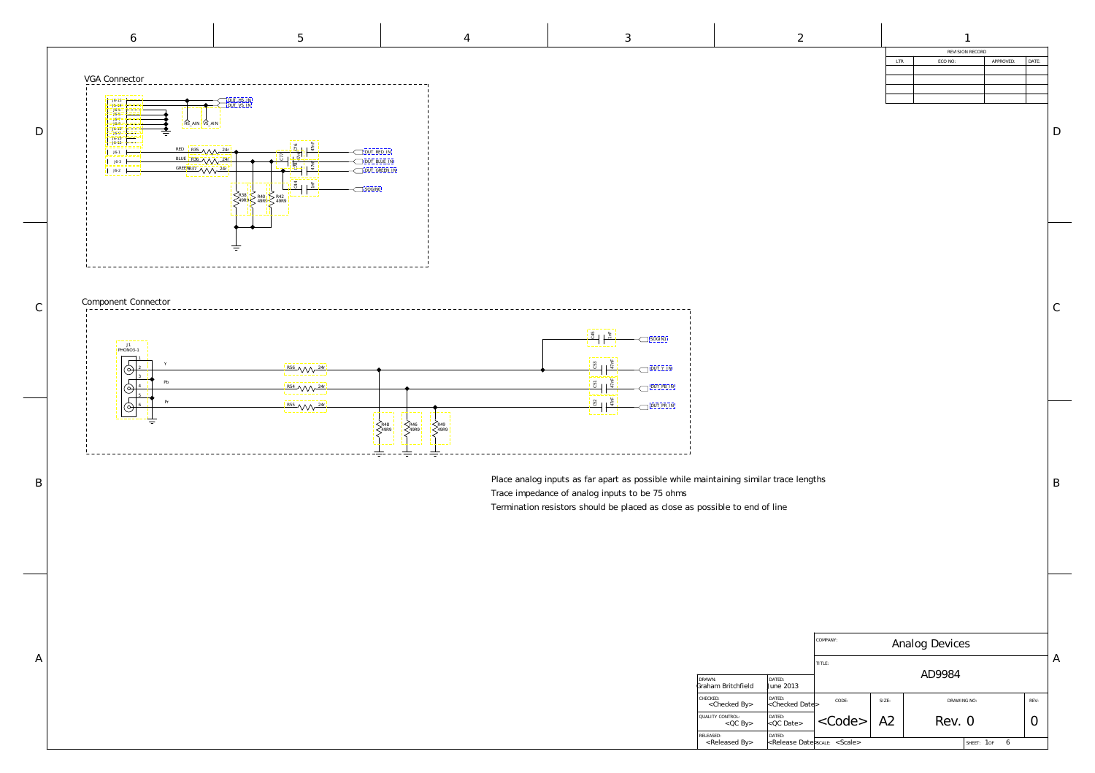|                                                    |                             | COMPANY:<br>Analog Devices           |    |        |                 |  |  |
|----------------------------------------------------|-----------------------------|--------------------------------------|----|--------|-----------------|--|--|
| TITLE:                                             |                             |                                      |    |        |                 |  |  |
| DRAWN:<br>DATED:<br>Graham Britchfield             | <b>June 2013</b>            | AD9984                               |    |        |                 |  |  |
| CHECKED:<br>DATED:<br><checked by=""></checked>    | <checked date=""></checked> | CODE:<br>SIZE:<br>DRAWING NO:        |    | REV:   |                 |  |  |
| QUALITY CONTROL:<br>DATED:<br>$QC$ By              | $< QC$ Date>                | $\langle \text{Code} \rangle$        | A2 | Rev. 0 |                 |  |  |
| DATED:<br>RELEASED:<br><released by=""></released> |                             | <release date="">scale&gt;</release> |    |        | 6<br>SHEET: 1OF |  |  |

B

 $\mathcal{C}$ 

D

| REVISION RECORD |         |           |       |  |  |  |
|-----------------|---------|-----------|-------|--|--|--|
| LTR             | ECO NO: | APPROVED: | DATE: |  |  |  |
|                 |         |           |       |  |  |  |
|                 |         |           |       |  |  |  |
|                 |         |           |       |  |  |  |
|                 |         |           |       |  |  |  |
|                 |         |           |       |  |  |  |

47nF 47nF 47nF 1nF [DUT\\_PB\\_IN](#page-1-0) [DUT\\_Y\\_IN](#page-1-0) [DUT\\_PR\\_IN](#page-1-0)  $\sqrt{ }$  [SOGIN1](#page-1-0)

<span id="page-0-0"></span>

Place analog inputs as far apart as possible while maintaining similar trace lengths

- 
- Termination resistors should be placed as close as possible to end of line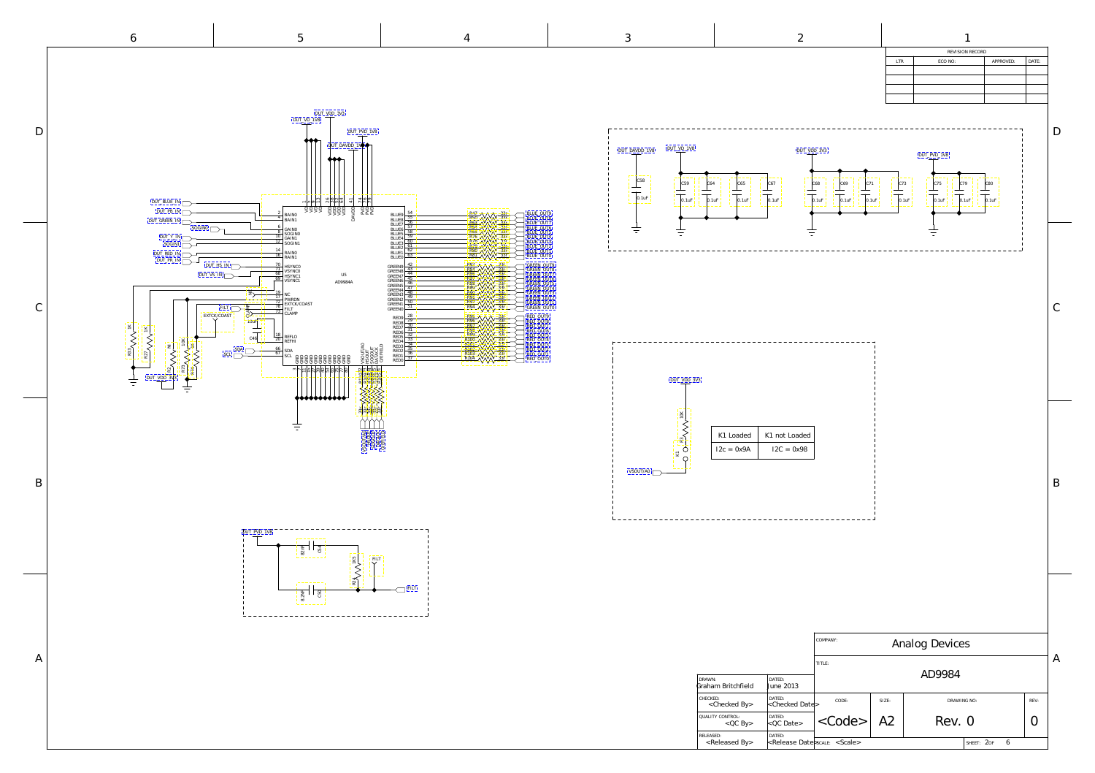

<span id="page-1-0"></span>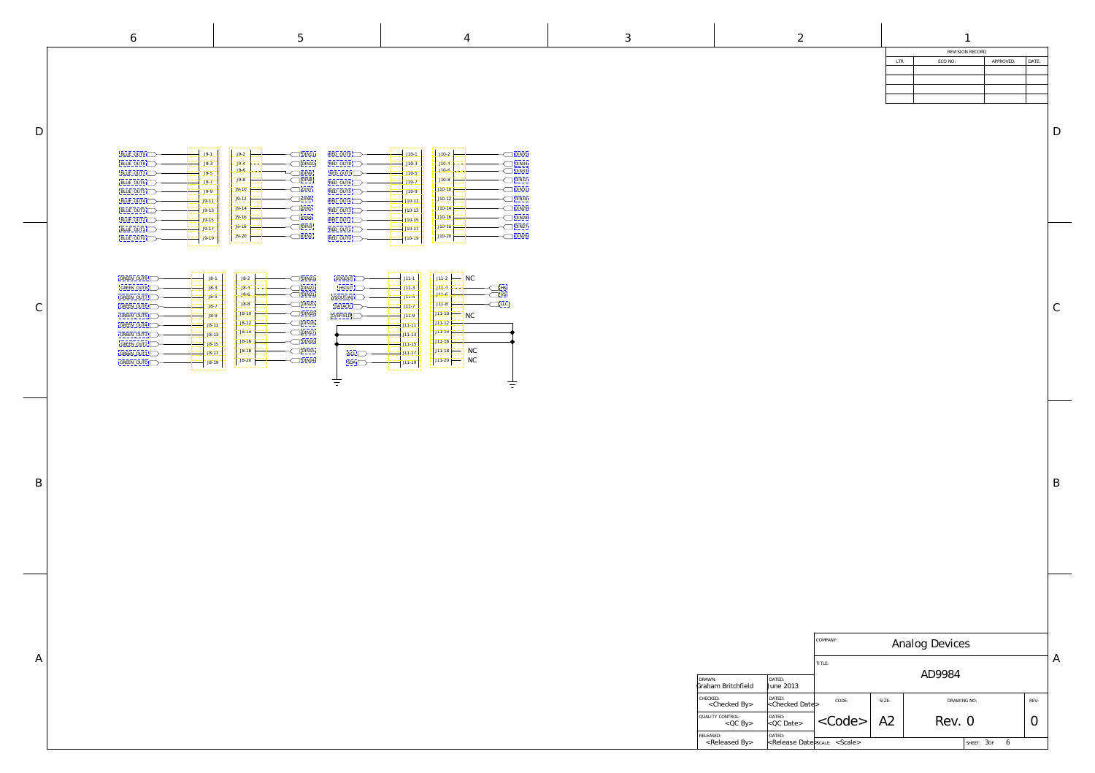|                                                             |                                                    | COMPANY:<br>Analog Devices                 |       |             |                 |      |                |
|-------------------------------------------------------------|----------------------------------------------------|--------------------------------------------|-------|-------------|-----------------|------|----------------|
| DRAWN:                                                      | DATED:                                             | TITLE:<br>AD9984                           |       |             |                 |      | $\overline{A}$ |
| Graham Britchfield<br>CHECKED:<br><checked by=""></checked> | June 2013<br>DATED:<br><checked date=""></checked> | CODE:                                      | SIZE: | DRAWING NO: |                 | REV: |                |
| QUALITY CONTROL:<br>$QC$ By                                 | DATED:<br>$< QC$ Date>                             | $<$ Code>                                  | A2    | Rev. 0      |                 |      |                |
| RELEASED:<br><released by=""></released>                    | DATED:                                             | <b>kRelease Date</b> scale <scale></scale> |       |             | 6<br>SHEET: 30F |      |                |

B

D

 $\bigcap$ 

| REVISION RECORD |           |       |  |  |  |  |
|-----------------|-----------|-------|--|--|--|--|
| ECO NO:         | APPROVED: | DATE: |  |  |  |  |
|                 |           |       |  |  |  |  |
|                 |           |       |  |  |  |  |
|                 |           |       |  |  |  |  |
|                 |           |       |  |  |  |  |
|                 |           |       |  |  |  |  |

D

<span id="page-2-0"></span>

 $\mathsf C$ 

A

J9-19 J9-20

| $J9-1$  | $J9-2$  | DIN11            |
|---------|---------|------------------|
| J9-3    | $J9-4$  | DIN10            |
| J9-5    | J9-6    | DIN9             |
| $J9-7$  | J9-8    | DIN8             |
| J9-9    | $J9-10$ | DIN7             |
| $J9-11$ | $J9-12$ | DIN <sub>6</sub> |
| $J9-13$ | $J9-14$ | DIN <sub>5</sub> |
| $J9-15$ | $J9-16$ | DIN4             |
| $J9-17$ | $J9-18$ | DIN <sub>3</sub> |
| J9-19   | $J9-20$ | DIN2             |



| $J8-2$    | <b>DIN23</b> |
|-----------|--------------|
| $J8-4$    | DIN22        |
| $J8-6$    | DIN21        |
| J8-8      | <b>DIN20</b> |
| $J8 - 10$ | DIN19        |
| $J8-12$   | DIN18        |
| $J8-14$   | DIN17        |
| $J8-16$   | DIN16        |
| $J8-18$   | DIN15        |
| $J8-20$   | DIN14        |
|           |              |

| BLUE_OUT9 | $J9-1$ |
|-----------|--------|
| BLUE_OUT8 | J9-3   |
| BLUE_OUT7 | J9-5   |
| BLUE_OUT6 | J9-7   |
| BLUE_OUT5 | J9-9   |
| BLUE_OUT4 | $J9-1$ |
| BLUE_OUT3 | $J9-1$ |
| BLUE_OUT2 | $J9-1$ |
| BLUE OUT1 | $J9-1$ |

[BLUE\\_OUT0](#page-1-0)

| $J10-1$  | $J10-2$  | DIN35        |
|----------|----------|--------------|
| $J10-3$  | $J10-4$  | DIN34        |
| $J10-5$  | $J10-6$  | DIN33        |
| $J10-7$  | $J10-8$  | <b>DIN32</b> |
| $J10-9$  | $J10-10$ | DIN31        |
| $J10-11$ | $J10-12$ | DIN30        |
| $J10-13$ | $J10-14$ | <b>DIN29</b> |
| $J10-15$ | $J10-16$ | <b>DIN28</b> |
| $J10-17$ | $J10-18$ | DIN27        |
| $J10-19$ | $J10-20$ | DIN26        |
|          |          |              |

| GREEN_OUT9 | $J8-1$    |
|------------|-----------|
| GREEN_OUT8 | $J8-3$    |
| GREEN OUT7 | $J8-5$    |
| GREEN_OUT6 | $J8-7$    |
| GREEN OUT5 | J8-9      |
| GREEN OUT4 | $J8-11$   |
| GREEN_OUT3 | $J8 - 13$ |
| GREEN OUT2 | $JS-15$   |
| GREEN_OUT1 | $J8-17$   |
| GREEN OUTO | $JS-1S$   |
|            |           |

| RED_OUT9   | $J1O-1$  |
|------------|----------|
| RED OUT8   | $J10-3$  |
| RED_OUT7   | $J10-5$  |
| RED_OUT6   | $J10-7$  |
| RED_OUT5   | J10-9    |
| $RED_OUT4$ | $J10-11$ |
| RED_OUT3   | $J10-13$ |
| RED_OUT2   | $J10-15$ |
| RED OUT1   | $J10-17$ |
| RED OUTO   | $J10-19$ |

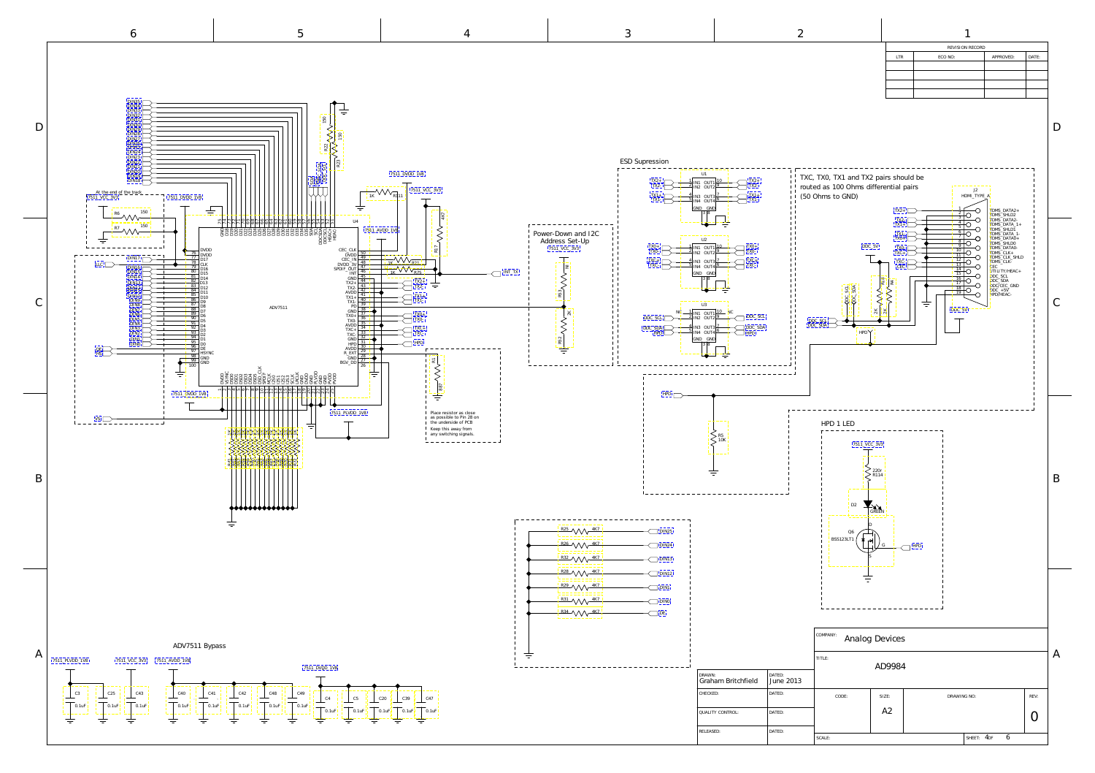<span id="page-3-0"></span>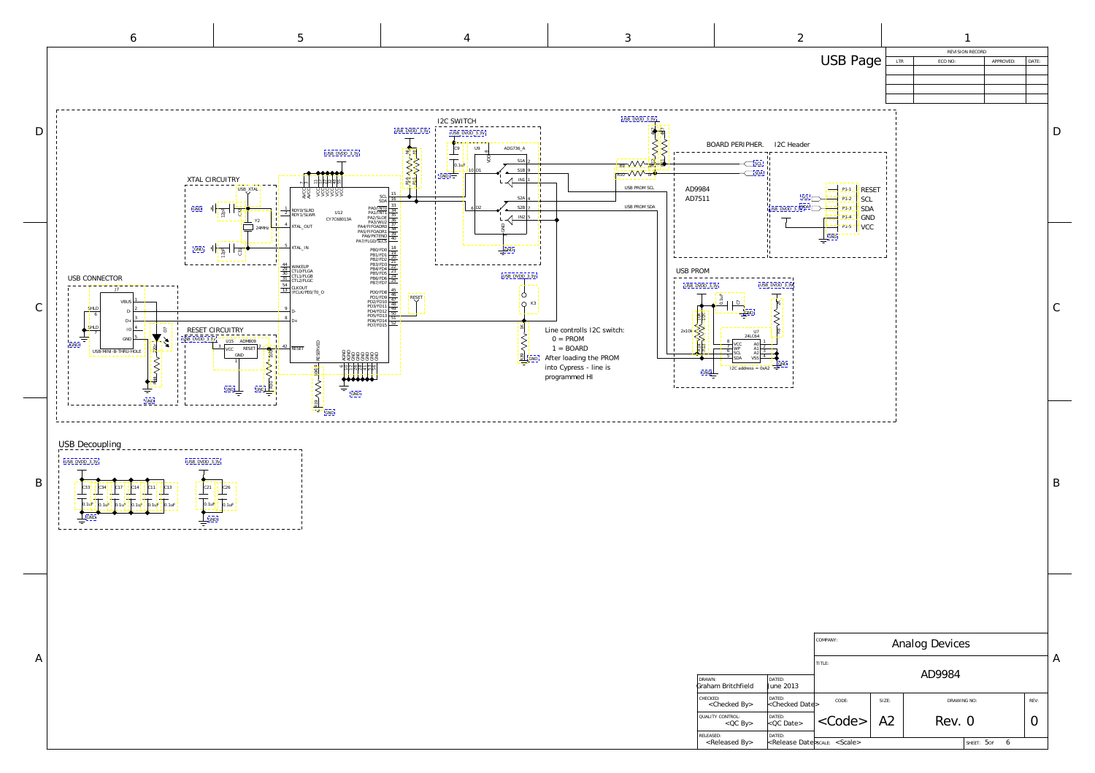

<span id="page-4-0"></span>I2C SWITCH D USB\_DVDD\_3.3V USB\_DVDD\_3.3V ADG736\_A C9 [USB\\_DVDD\\_3.3V](#page-5-0) EN SAN ELS NAT  $\infty$ VDD  $\top$  $S1A$  2 0.1uF  $S1B$  $GND \rightarrow$ XTAL CIRCUITRY  $\mathcal{A}$ IN1 1 14 AESERVED<br>
10 AGND 12 AGND 12 AGND<br>
11 AGND 12 AGND 12 AGND 12 AGND 12 AGND 12 AGND 12 AGND 12 AGND 12 AGND 12 AGND 12 AGND 12 AGND 12 AGND 12 AGND 12 AGND 12 AGND 12 AGND 12 AGND 12 AGND 12 AGND 12 AGND 12 AGND 12 AGND ا د ଧା al: 아, 55  $\overline{7}$ USB\_XTAL XX<br>AS >>>>>><br>YCC COOCCC  $SCL$   $\frac{15}{16}$ S2A 4  $6\overline{D2}$   $\overline{S2B}$  7 1 RDY0/SLRD<br>RDY1/SLWR  $GND$   $\prod_{\substack{\alpha \text{ odd}}}$ C32 U12  $\leftarrow$   $\frac{1}{2}$ 33 PA2/SLOE<br>33 PA3/WU2<br>PA4/FIFOADR<br>PA5/FIFOADR<br>PA7/FLGD/SLC CY7C68013A Y2 4  $24MHz$ XTAL\_OUT ट्ट<br>क् 8 5 TAL\_IN 18 PB0/FD<br>19 PB2/FD<br>19 PB2/FD<br>19 PB3/FD<br>19 PB5/FD<br>19 PB5/FD<br>19 PB7/FD  $GND$   $\frac{1}{2}$   $\frac{1}{2}$   $\frac{1}{2}$   $\frac{1}{2}$ GND  $\frac{44}{29}$  WAKEUP<br> $\frac{30}{31}$  CTL1/FLGB<br>CTL2/FLGC USB\_DVDD\_3.3V USB CONNECTOR  $rac{54}{12}$  CLKOUT PD0/FD8 45<br>
PD1/FD9 46<br>
PD2/FD10 48<br>
PD5/FD11 49<br>
PD5/FD13 51<br>
PD6/FD14 52<br>
PD7/FD15 52 J7 13 | LENOUT<br>IFCLK/PE0/T0\_O Ò  $\frac{1}{\text{PDE}}$   $\frac{1}{\text{RES}}$   $\frac{1}{\text{RES}}$ VBUS  $Q$  K<sub>3</sub> C SHLD 2 9 D-D-6 3 8  $D+$  $D+$ **RS9 NASS** SHLD 4 RESET CIRCUITRY 2x10k Line controlls I2C switch: IO D7 7  $\pm$  $0 = PROM$ 5 GND - X USB\_DVDD\_3.3V ADM809 14 RESERVED GND  $1 = \text{BOARD}$ R44 VVV-220r 3 2 <sup>42</sup> RESET **RESE** VCC R30 V V V 100K USB-MINI-B-THRU-HOLI 20<br>20 GBBBBB<br>20 GBBBBB GND After loading the PROM GND 1 into Cypress - line is  $\circ$ R19 VV 10K programmed HI  $\frac{1}{\pi}$ 亏 **GND** GND GND GND [GND](#page-5-0)USB Decoupling USB\_DVDD\_3.3V USB\_DVDD\_3.3V B C33 C21 C34 C17 C14 C11 C13 C26 0.1uF 0.1uF 0.1uF 0.1uF 0.1uF 0.1uF 0.1uF 0.1uF GND GND  $\equiv$  $\equiv$ A